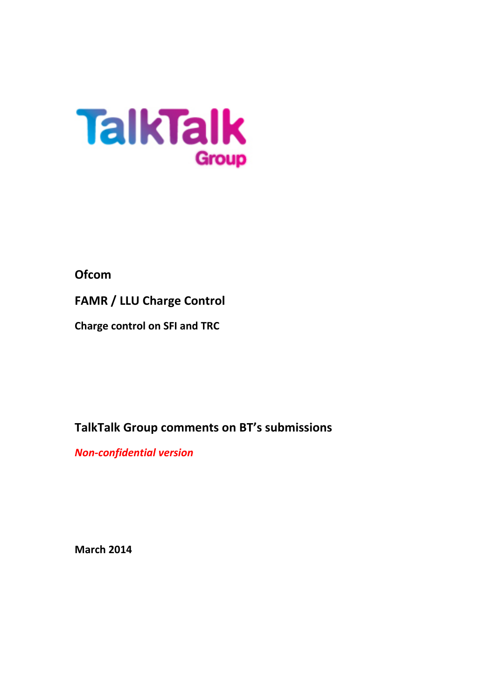

# **Ofcom**

**FAMR / LLU Charge Control**

**Charge control on SFI and TRC** 

**TalkTalk Group comments on BT's submissions**

*Non-confidential version*

**March 2014**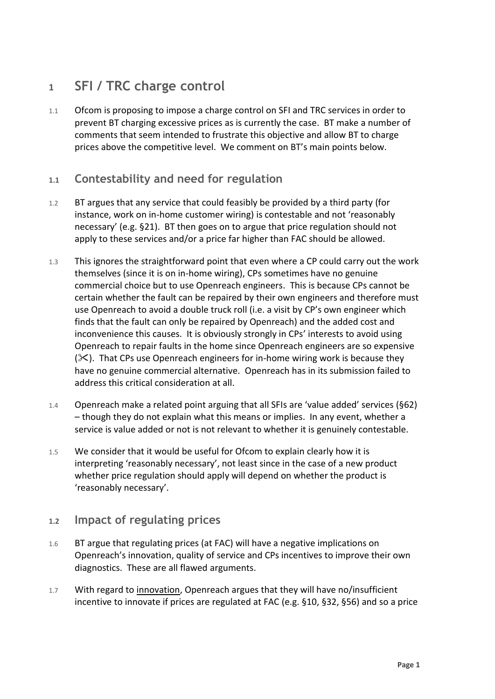# **1 SFI / TRC charge control**

1.1 Ofcom is proposing to impose a charge control on SFI and TRC services in order to prevent BT charging excessive prices as is currently the case. BT make a number of comments that seem intended to frustrate this objective and allow BT to charge prices above the competitive level. We comment on BT's main points below.

### **1.1 Contestability and need for regulation**

- 1.2 BT argues that any service that could feasibly be provided by a third party (for instance, work on in-home customer wiring) is contestable and not 'reasonably necessary' (e.g. §21). BT then goes on to argue that price regulation should not apply to these services and/or a price far higher than FAC should be allowed.
- 1.3 This ignores the straightforward point that even where a CP could carry out the work themselves (since it is on in-home wiring), CPs sometimes have no genuine commercial choice but to use Openreach engineers. This is because CPs cannot be certain whether the fault can be repaired by their own engineers and therefore must use Openreach to avoid a double truck roll (i.e. a visit by CP's own engineer which finds that the fault can only be repaired by Openreach) and the added cost and inconvenience this causes. It is obviously strongly in CPs' interests to avoid using Openreach to repair faults in the home since Openreach engineers are so expensive  $(X)$ . That CPs use Openreach engineers for in-home wiring work is because they have no genuine commercial alternative. Openreach has in its submission failed to address this critical consideration at all.
- 1.4 Openreach make a related point arguing that all SFIs are 'value added' services (§62) – though they do not explain what this means or implies. In any event, whether a service is value added or not is not relevant to whether it is genuinely contestable.
- 1.5 We consider that it would be useful for Ofcom to explain clearly how it is interpreting 'reasonably necessary', not least since in the case of a new product whether price regulation should apply will depend on whether the product is 'reasonably necessary'.

#### **1.2 Impact of regulating prices**

- 1.6 BT argue that regulating prices (at FAC) will have a negative implications on Openreach's innovation, quality of service and CPs incentives to improve their own diagnostics. These are all flawed arguments.
- 1.7 With regard to innovation, Openreach argues that they will have no/insufficient incentive to innovate if prices are regulated at FAC (e.g. §10, §32, §56) and so a price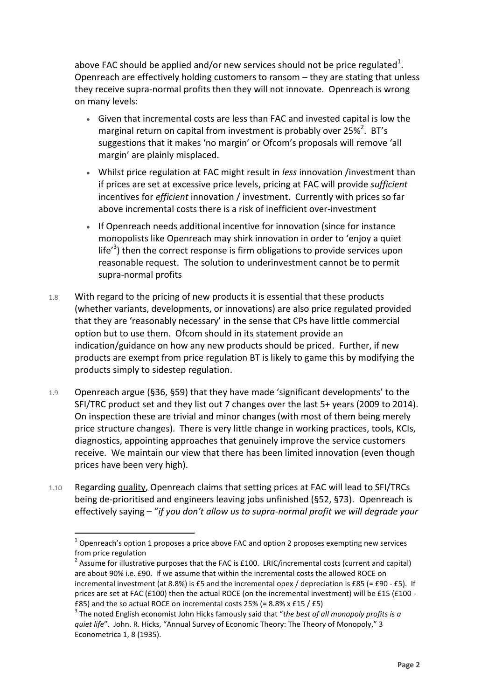above FAC should be applied and/or new services should not be price regulated<sup>1</sup>. Openreach are effectively holding customers to ransom – they are stating that unless they receive supra-normal profits then they will not innovate. Openreach is wrong on many levels:

- Given that incremental costs are less than FAC and invested capital is low the marginal return on capital from investment is probably over 25%<sup>2</sup>. BT's suggestions that it makes 'no margin' or Ofcom's proposals will remove 'all margin' are plainly misplaced.
- Whilst price regulation at FAC might result in *less* innovation /investment than if prices are set at excessive price levels, pricing at FAC will provide *sufficient* incentives for *efficient* innovation / investment. Currently with prices so far above incremental costs there is a risk of inefficient over-investment
- If Openreach needs additional incentive for innovation (since for instance monopolists like Openreach may shirk innovation in order to 'enjoy a quiet life<sup> $3$ </sup>) then the correct response is firm obligations to provide services upon reasonable request. The solution to underinvestment cannot be to permit supra-normal profits
- 1.8 With regard to the pricing of new products it is essential that these products (whether variants, developments, or innovations) are also price regulated provided that they are 'reasonably necessary' in the sense that CPs have little commercial option but to use them. Ofcom should in its statement provide an indication/guidance on how any new products should be priced. Further, if new products are exempt from price regulation BT is likely to game this by modifying the products simply to sidestep regulation.
- 1.9 Openreach argue (§36, §59) that they have made 'significant developments' to the SFI/TRC product set and they list out 7 changes over the last 5+ years (2009 to 2014). On inspection these are trivial and minor changes (with most of them being merely price structure changes). There is very little change in working practices, tools, KCIs, diagnostics, appointing approaches that genuinely improve the service customers receive. We maintain our view that there has been limited innovation (even though prices have been very high).
- 1.10 Regarding quality, Openreach claims that setting prices at FAC will lead to SFI/TRCs being de-prioritised and engineers leaving jobs unfinished (§52, §73). Openreach is effectively saying – "*if you don't allow us to supra-normal profit we will degrade your*

 $\overline{a}$ 

 $1$  Openreach's option 1 proposes a price above FAC and option 2 proposes exempting new services from price regulation

<sup>&</sup>lt;sup>2</sup> Assume for illustrative purposes that the FAC is £100. LRIC/incremental costs (current and capital) are about 90% i.e. £90. If we assume that within the incremental costs the allowed ROCE on incremental investment (at 8.8%) is £5 and the incremental opex / depreciation is £85 (= £90 - £5). If prices are set at FAC (£100) then the actual ROCE (on the incremental investment) will be £15 (£100 - £85) and the so actual ROCE on incremental costs 25% (= 8.8% x £15 / £5)

<sup>3</sup> The noted English economist John Hicks famously said that "*the best of all monopoly profits is a quiet life*". John. R. Hicks, "Annual Survey of Economic Theory: The Theory of Monopoly," 3 Econometrica 1, 8 (1935).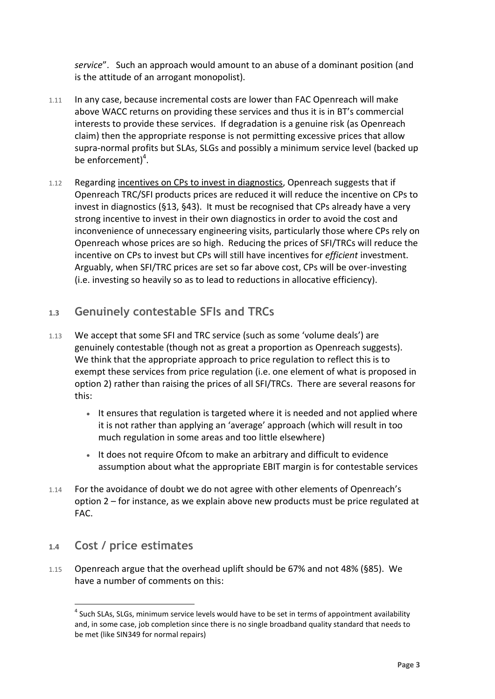*service*". Such an approach would amount to an abuse of a dominant position (and is the attitude of an arrogant monopolist).

- 1.11 In any case, because incremental costs are lower than FAC Openreach will make above WACC returns on providing these services and thus it is in BT's commercial interests to provide these services. If degradation is a genuine risk (as Openreach claim) then the appropriate response is not permitting excessive prices that allow supra-normal profits but SLAs, SLGs and possibly a minimum service level (backed up be enforcement)<sup>4</sup>.
- 1.12 Regarding incentives on CPs to invest in diagnostics, Openreach suggests that if Openreach TRC/SFI products prices are reduced it will reduce the incentive on CPs to invest in diagnostics (§13, §43). It must be recognised that CPs already have a very strong incentive to invest in their own diagnostics in order to avoid the cost and inconvenience of unnecessary engineering visits, particularly those where CPs rely on Openreach whose prices are so high. Reducing the prices of SFI/TRCs will reduce the incentive on CPs to invest but CPs will still have incentives for *efficient* investment. Arguably, when SFI/TRC prices are set so far above cost, CPs will be over-investing (i.e. investing so heavily so as to lead to reductions in allocative efficiency).

## **1.3 Genuinely contestable SFIs and TRCs**

- 1.13 We accept that some SFI and TRC service (such as some 'volume deals') are genuinely contestable (though not as great a proportion as Openreach suggests). We think that the appropriate approach to price regulation to reflect this is to exempt these services from price regulation (i.e. one element of what is proposed in option 2) rather than raising the prices of all SFI/TRCs. There are several reasons for this:
	- It ensures that regulation is targeted where it is needed and not applied where it is not rather than applying an 'average' approach (which will result in too much regulation in some areas and too little elsewhere)
	- It does not require Ofcom to make an arbitrary and difficult to evidence assumption about what the appropriate EBIT margin is for contestable services
- 1.14 For the avoidance of doubt we do not agree with other elements of Openreach's option 2 – for instance, as we explain above new products must be price regulated at FAC.

### **1.4 Cost / price estimates**

 $\overline{a}$ 

1.15 Openreach argue that the overhead uplift should be 67% and not 48% (§85). We have a number of comments on this:

 $<sup>4</sup>$  Such SLAs, SLGs, minimum service levels would have to be set in terms of appointment availability</sup> and, in some case, job completion since there is no single broadband quality standard that needs to be met (like SIN349 for normal repairs)